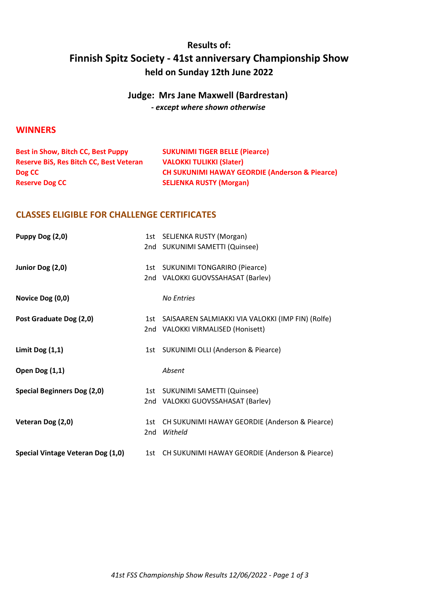# Results of: Finnish Spitz Society - 41st anniversary Championship Show held on Sunday 12th June 2022

### Judge: Mrs Jane Maxwell (Bardrestan) - except where shown otherwise

#### **WINNERS**

| <b>Best in Show, Bitch CC, Best Puppy</b>      | <b>SUKUNIMI TIGER BELLE (Piearce)</b>                     |
|------------------------------------------------|-----------------------------------------------------------|
| <b>Reserve BiS, Res Bitch CC, Best Veteran</b> | <b>VALOKKI TULIKKI (Slater)</b>                           |
| Dog CC                                         | <b>CH SUKUNIMI HAWAY GEORDIE (Anderson &amp; Piearce)</b> |
| <b>Reserve Dog CC</b>                          | <b>SELJENKA RUSTY (Morgan)</b>                            |

#### CLASSES ELIGIBLE FOR CHALLENGE CERTIFICATES

| Puppy Dog (2,0)                    |     | 1st SELJENKA RUSTY (Morgan)                           |
|------------------------------------|-----|-------------------------------------------------------|
|                                    |     | 2nd SUKUNIMI SAMETTI (Quinsee)                        |
|                                    |     |                                                       |
| Junior Dog (2,0)                   |     | 1st SUKUNIMI TONGARIRO (Piearce)                      |
|                                    |     | 2nd VALOKKI GUOVSSAHASAT (Barlev)                     |
|                                    |     |                                                       |
| Novice Dog (0,0)                   |     | <b>No Entries</b>                                     |
| Post Graduate Dog (2,0)            |     | 1st SAISAAREN SALMIAKKI VIA VALOKKI (IMP FIN) (Rolfe) |
|                                    |     | 2nd VALOKKI VIRMALISED (Honisett)                     |
|                                    |     |                                                       |
| Limit Dog $(1,1)$                  |     | 1st SUKUNIMI OLLI (Anderson & Piearce)                |
| <b>Open Dog (1,1)</b>              |     | Absent                                                |
|                                    |     |                                                       |
| <b>Special Beginners Dog (2,0)</b> |     | 1st SUKUNIMI SAMETTI (Quinsee)                        |
|                                    |     | 2nd VALOKKI GUOVSSAHASAT (Barlev)                     |
|                                    |     |                                                       |
| Veteran Dog (2,0)                  | 1st | CH SUKUNIMI HAWAY GEORDIE (Anderson & Piearce)        |
|                                    | 2nd | Witheld                                               |
| Special Vintage Veteran Dog (1,0)  |     | 1st CH SUKUNIMI HAWAY GEORDIE (Anderson & Piearce)    |
|                                    |     |                                                       |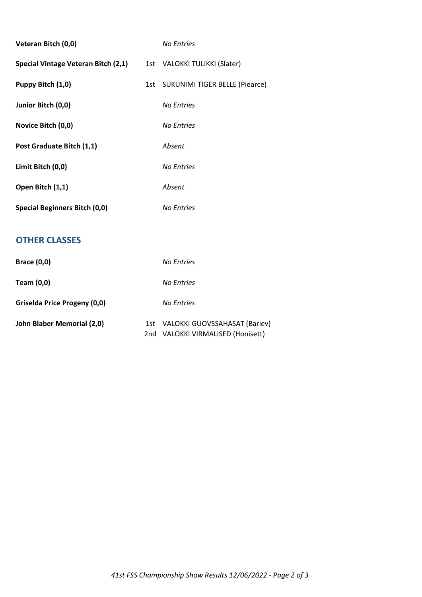| Veteran Bitch (0,0)                  | <b>No Entries</b>                  |
|--------------------------------------|------------------------------------|
| Special Vintage Veteran Bitch (2,1)  | 1st VALOKKI TULIKKI (Slater)       |
| Puppy Bitch (1,0)                    | 1st SUKUNIMI TIGER BELLE (Piearce) |
| Junior Bitch (0,0)                   | <b>No Entries</b>                  |
| Novice Bitch (0,0)                   | <b>No Entries</b>                  |
| Post Graduate Bitch (1,1)            | Absent                             |
| Limit Bitch (0,0)                    | <b>No Entries</b>                  |
| Open Bitch (1,1)                     | Absent                             |
| <b>Special Beginners Bitch (0,0)</b> | <b>No Entries</b>                  |
|                                      |                                    |

## OTHER CLASSES

| <b>Brace (0,0)</b>           |     | No Entries                        |
|------------------------------|-----|-----------------------------------|
| Team (0,0)                   |     | No Entries                        |
| Griselda Price Progeny (0,0) |     | No Entries                        |
| John Blaber Memorial (2,0)   | 1st | VALOKKI GUOVSSAHASAT (Barlev)     |
|                              |     | 2nd VALOKKI VIRMALISED (Honisett) |